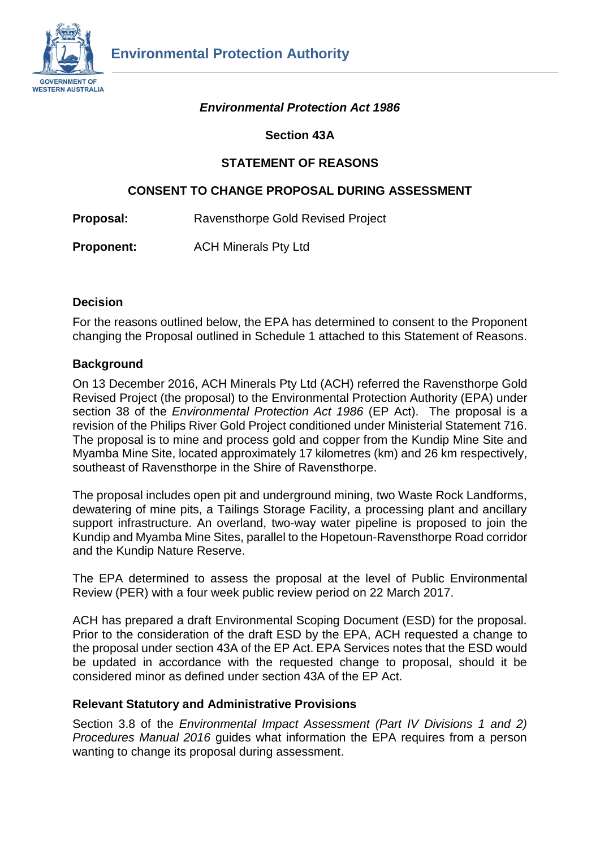

### *Environmental Protection Act 1986*

### **Section 43A**

### **STATEMENT OF REASONS**

### **CONSENT TO CHANGE PROPOSAL DURING ASSESSMENT**

**Proposal:** Ravensthorpe Gold Revised Project

**Proponent:** ACH Minerals Pty Ltd

### **Decision**

For the reasons outlined below, the EPA has determined to consent to the Proponent changing the Proposal outlined in Schedule 1 attached to this Statement of Reasons.

### **Background**

On 13 December 2016, ACH Minerals Pty Ltd (ACH) referred the Ravensthorpe Gold Revised Project (the proposal) to the Environmental Protection Authority (EPA) under section 38 of the *Environmental Protection Act 1986* (EP Act). The proposal is a revision of the Philips River Gold Project conditioned under Ministerial Statement 716. The proposal is to mine and process gold and copper from the Kundip Mine Site and Myamba Mine Site, located approximately 17 kilometres (km) and 26 km respectively, southeast of Ravensthorpe in the Shire of Ravensthorpe.

The proposal includes open pit and underground mining, two Waste Rock Landforms, dewatering of mine pits, a Tailings Storage Facility, a processing plant and ancillary support infrastructure. An overland, two-way water pipeline is proposed to join the Kundip and Myamba Mine Sites, parallel to the Hopetoun-Ravensthorpe Road corridor and the Kundip Nature Reserve.

The EPA determined to assess the proposal at the level of Public Environmental Review (PER) with a four week public review period on 22 March 2017.

ACH has prepared a draft Environmental Scoping Document (ESD) for the proposal. Prior to the consideration of the draft ESD by the EPA, ACH requested a change to the proposal under section 43A of the EP Act. EPA Services notes that the ESD would be updated in accordance with the requested change to proposal, should it be considered minor as defined under section 43A of the EP Act.

### **Relevant Statutory and Administrative Provisions**

Section 3.8 of the *Environmental Impact Assessment (Part IV Divisions 1 and 2) Procedures Manual 2016* guides what information the EPA requires from a person wanting to change its proposal during assessment.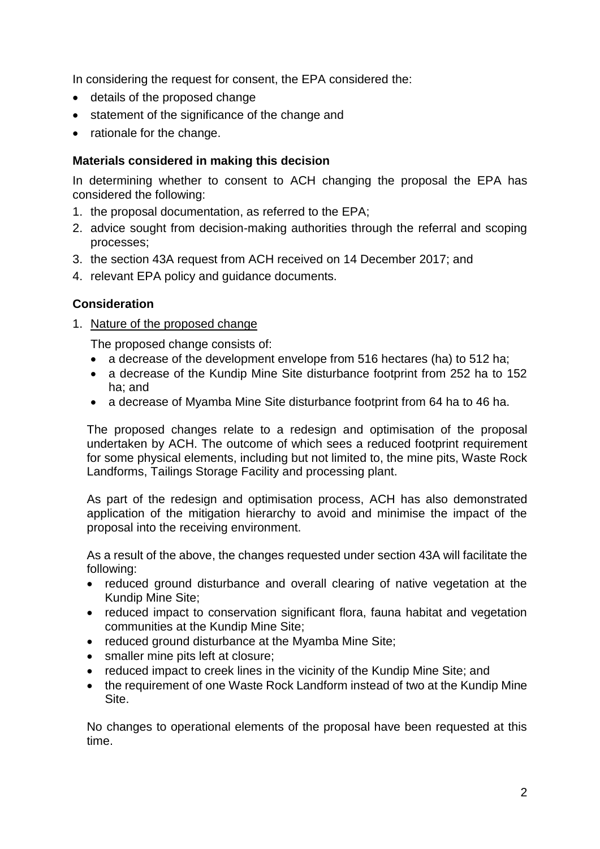In considering the request for consent, the EPA considered the:

- details of the proposed change
- statement of the significance of the change and
- rationale for the change.

## **Materials considered in making this decision**

In determining whether to consent to ACH changing the proposal the EPA has considered the following:

- 1. the proposal documentation, as referred to the EPA;
- 2. advice sought from decision-making authorities through the referral and scoping processes;
- 3. the section 43A request from ACH received on 14 December 2017; and
- 4. relevant EPA policy and guidance documents.

# **Consideration**

1. Nature of the proposed change

The proposed change consists of:

- a decrease of the development envelope from 516 hectares (ha) to 512 ha;
- a decrease of the Kundip Mine Site disturbance footprint from 252 ha to 152 ha; and
- a decrease of Myamba Mine Site disturbance footprint from 64 ha to 46 ha.

The proposed changes relate to a redesign and optimisation of the proposal undertaken by ACH. The outcome of which sees a reduced footprint requirement for some physical elements, including but not limited to, the mine pits, Waste Rock Landforms, Tailings Storage Facility and processing plant.

As part of the redesign and optimisation process, ACH has also demonstrated application of the mitigation hierarchy to avoid and minimise the impact of the proposal into the receiving environment.

As a result of the above, the changes requested under section 43A will facilitate the following:

- reduced ground disturbance and overall clearing of native vegetation at the Kundip Mine Site;
- reduced impact to conservation significant flora, fauna habitat and vegetation communities at the Kundip Mine Site;
- reduced ground disturbance at the Myamba Mine Site;
- smaller mine pits left at closure;
- reduced impact to creek lines in the vicinity of the Kundip Mine Site; and
- the requirement of one Waste Rock Landform instead of two at the Kundip Mine Site.

No changes to operational elements of the proposal have been requested at this time.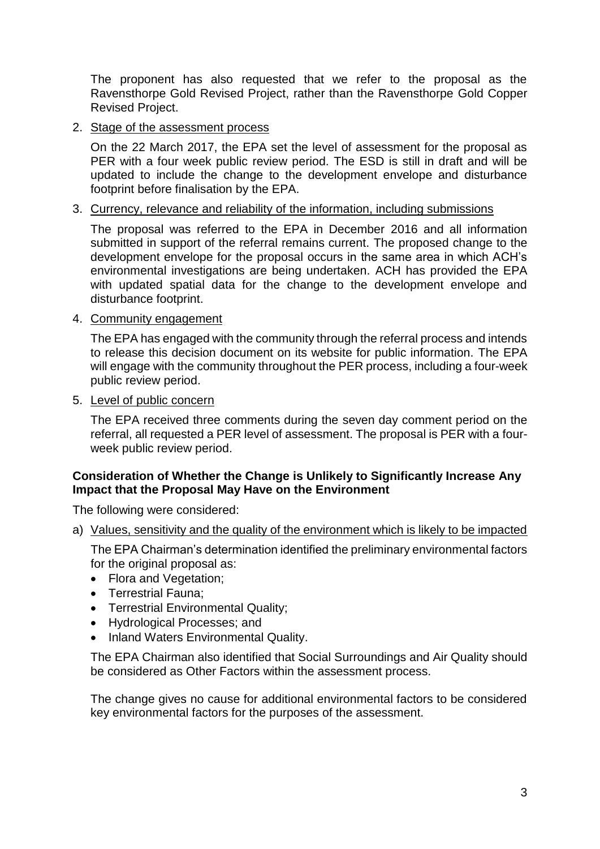The proponent has also requested that we refer to the proposal as the Ravensthorpe Gold Revised Project, rather than the Ravensthorpe Gold Copper Revised Project.

### 2. Stage of the assessment process

On the 22 March 2017, the EPA set the level of assessment for the proposal as PER with a four week public review period. The ESD is still in draft and will be updated to include the change to the development envelope and disturbance footprint before finalisation by the EPA.

### 3. Currency, relevance and reliability of the information, including submissions

The proposal was referred to the EPA in December 2016 and all information submitted in support of the referral remains current. The proposed change to the development envelope for the proposal occurs in the same area in which ACH's environmental investigations are being undertaken. ACH has provided the EPA with updated spatial data for the change to the development envelope and disturbance footprint.

### 4. Community engagement

The EPA has engaged with the community through the referral process and intends to release this decision document on its website for public information. The EPA will engage with the community throughout the PER process, including a four-week public review period.

### 5. Level of public concern

The EPA received three comments during the seven day comment period on the referral, all requested a PER level of assessment. The proposal is PER with a fourweek public review period.

### **Consideration of Whether the Change is Unlikely to Significantly Increase Any Impact that the Proposal May Have on the Environment**

The following were considered:

### a) Values, sensitivity and the quality of the environment which is likely to be impacted

The EPA Chairman's determination identified the preliminary environmental factors for the original proposal as:

- Flora and Vegetation;
- Terrestrial Fauna;
- Terrestrial Environmental Quality;
- Hydrological Processes; and
- Inland Waters Environmental Quality.

The EPA Chairman also identified that Social Surroundings and Air Quality should be considered as Other Factors within the assessment process.

The change gives no cause for additional environmental factors to be considered key environmental factors for the purposes of the assessment.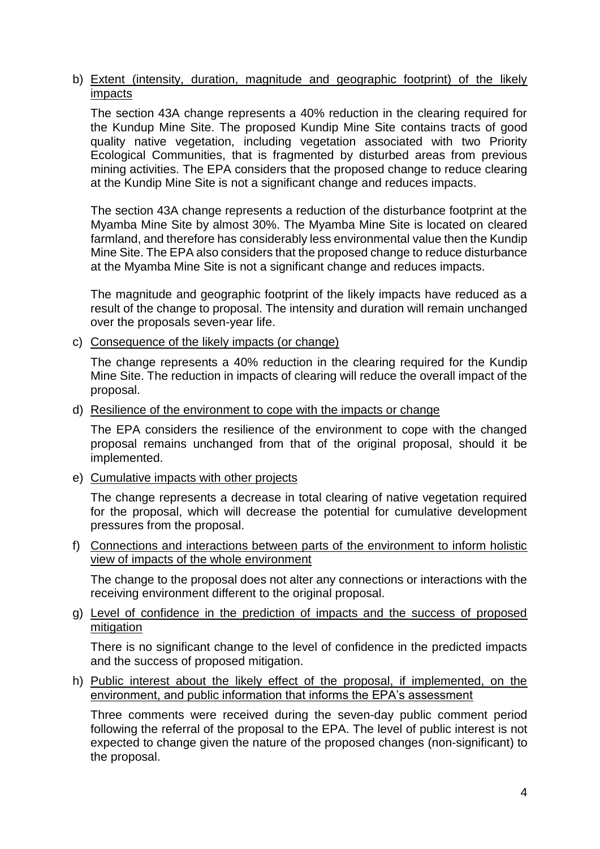### b) Extent (intensity, duration, magnitude and geographic footprint) of the likely impacts

The section 43A change represents a 40% reduction in the clearing required for the Kundup Mine Site. The proposed Kundip Mine Site contains tracts of good quality native vegetation, including vegetation associated with two Priority Ecological Communities, that is fragmented by disturbed areas from previous mining activities. The EPA considers that the proposed change to reduce clearing at the Kundip Mine Site is not a significant change and reduces impacts.

The section 43A change represents a reduction of the disturbance footprint at the Myamba Mine Site by almost 30%. The Myamba Mine Site is located on cleared farmland, and therefore has considerably less environmental value then the Kundip Mine Site. The EPA also considers that the proposed change to reduce disturbance at the Myamba Mine Site is not a significant change and reduces impacts.

The magnitude and geographic footprint of the likely impacts have reduced as a result of the change to proposal. The intensity and duration will remain unchanged over the proposals seven-year life.

c) Consequence of the likely impacts (or change)

The change represents a 40% reduction in the clearing required for the Kundip Mine Site. The reduction in impacts of clearing will reduce the overall impact of the proposal.

#### d) Resilience of the environment to cope with the impacts or change

The EPA considers the resilience of the environment to cope with the changed proposal remains unchanged from that of the original proposal, should it be implemented.

e) Cumulative impacts with other projects

The change represents a decrease in total clearing of native vegetation required for the proposal, which will decrease the potential for cumulative development pressures from the proposal.

f) Connections and interactions between parts of the environment to inform holistic view of impacts of the whole environment

The change to the proposal does not alter any connections or interactions with the receiving environment different to the original proposal.

g) Level of confidence in the prediction of impacts and the success of proposed mitigation

There is no significant change to the level of confidence in the predicted impacts and the success of proposed mitigation.

h) Public interest about the likely effect of the proposal, if implemented, on the environment, and public information that informs the EPA's assessment

Three comments were received during the seven-day public comment period following the referral of the proposal to the EPA. The level of public interest is not expected to change given the nature of the proposed changes (non-significant) to the proposal.